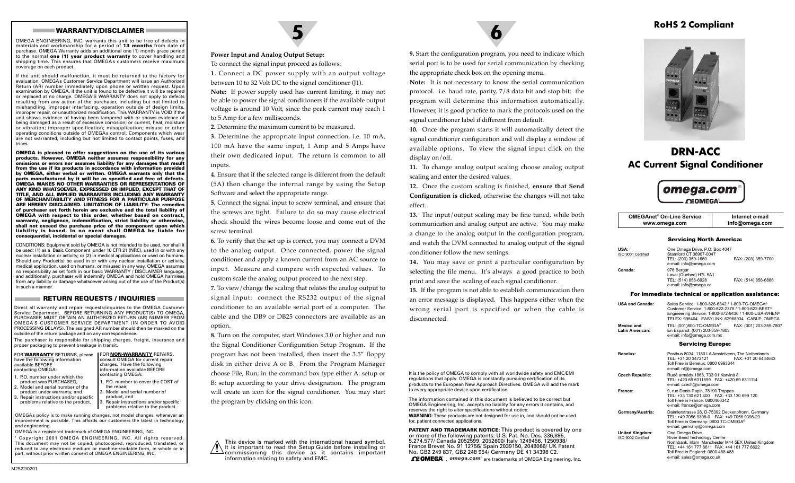#### **WARRANTY/DISCLAIMER**

OMEGA ENGINEERING, INC. warrants this unit to be free of defects in materials and workmanship for a period of **13 months** from date of purchase. OMEGA Warranty adds an additional one (1) month grace period to the normal **one (1) year product warranty** to cover handling and shipping time. This ensures that OMEGAs customers receive maximum coverage on each product.

If the unit should malfunction, it must be returned to the factory for evaluation. OMEGAs Customer Service Department will issue an Authorized Return (AR) number immediately upon phone or written request. Upon examination by OMEGA, if the unit is found to be defective it will be repaired or replaced at no charge. OMEGA'S WARRANTY does not apply to defects resulting from any action of the purchaser, including but not limited to mishandling, improper interfacing, operation outside of design limits, improper repair, or unauthorized modification. This WARRANTY is VOID if the unit shows evidence of having been tampered with or shows evidence of being damaged as a result of excessive corrosion; or current, heat, moisture or vibration; improper specification; misapplication; misuse or other operating conditions outside of OMEGAs control. Components which wear are not warranted, including but not limited to contact points, fuses, and triacs.

**OMEGA is pleased to offer suggestions on the use of its various products. However, OMEGA neither assumes responsibility for any omissions or errors nor assumes liability for any damages that result from the use if its products in accordance with information provided by OMEGA, either verbal or written. OMEGA warrants only that the parts manufactured by it will be as specified and free of defects. OMEGA MAKES NO OTHER WARRANTIES OR REPRESENTATIONS OF ANY KIND WHATSOEVER, EXPRESSED OR IMPLIED, EXCEPT THAT OF TITLE, AND ALL IMPLIED WARRANTIES INCLUDING ANY WARRANTY OF MERCHANTABILITY AND FITNESS FOR A PARTICULAR PURPOSE ARE HEREBY DISCLAIMED. LIMITATION OF LIABILITY: The remedies of purchaser set forth herein are exclusive and the total liability of OMEGA with respect to this order, whether based on contract, warranty, negligence, indemnification, strict liability or otherwise, shall not exceed the purchase price of the component upon which liability is based. In no event shall OMEGA be liable for consequential, incidental or special damages.**

CONDITIONS: Equipment sold by OMEGA is not intended to be used, nor shall it be used: (1) as a Basic Component under 10 CFR 21 (NRC), used in or with any nuclear installation or activity; or (2) in medical applications or used on humans. Should any Product(s) be used in or with any nuclear installation or activity, medical application, used on humans, or misused in any way, OMEGA assumes no responsibility as set forth in our basic WARRANTY / DISCLAIMER language, and additionally, purchaser will indemnify OMEGA and hold OMEGA harmless from any liability or damage whatsoever arising out of the use of the Product(s) in such a manner.

#### **RETURN REQUESTS / INQUIRIES**

Direct all warranty and repair requests/inquiries to the OMEGA Customer Service Department. BEFORE RETURNING ANY PRODUCT(S) TO OMEGA, PURCHASER MUST OBTAIN AN AUTHORIZED RETURN (AR) NUMBER FROM OMEGA S CUSTOMER SERVICE DEPARTMENT (IN ORDER TO AVOID PROCESSING DELAYS). The assigned AR number should then be marked on the outside of the return package and on any correspondence.

The purchaser is responsible for shipping charges, freight, insurance and proper packaging to prevent breakage in transit.

| FOR WARRANTY RETURNS, please   | FOR <b>NON-WARRANTY</b> REPAIRS, |
|--------------------------------|----------------------------------|
| have the following information | consult OMEGA for current repair |
| available BEFORE               | charges. Have the following      |
| contacting OMEGA:              | information available BEFORE     |
| $1.50$ number under which the  | contacting OMEGA:                |

1. P.O. number under which theproduct was PURCHASED, 2. Model and serial number of the1. P.O. number to cover the COST ofthe repair,

product under warranty, and 3. Repair instructions and/or specific Model and serial number of product, and Repair instructions and/or specific

problems relative to the product.

OMEGAs policy is to make running changes, not model changes, whenever an improvement is possible. This affords our customers the latest in technology and engineering.

problems relative to the product.

OMEGA is a registered trademark of OMEGA ENGINEERING, INC. ' Copyright 2001 OMEGA ENGINEERING, INC. All rights reserved. This document may not be copied, photocopied, reproduced, translated, or reduced to any electronic medium or machine-readable form, in whole or in part, without prior written consent of OMEGA ENGINEERING, INC.



#### **Power Input and Analog Output Setup:**

To connect the signal input proceed as follows:

**1.** Connect a DC power supply with an output voltage between 10 to 32 Volt DC to the signal conditioner (J1).

**Note:** If power supply used has current limiting, it may not be able to power the signal conditioners if the available output voltage is around 10 Volt, since the peak current may reach 1 to 5 Amp for a few milliseconds.

**2.** Determine the maximum current to be measured.

**3.** Determine the appropriate input connection. i.e. 10 mA, 100 mA have the same input, 1 Amp and 5 Amps have their own dedicated input. The return is common to all inputs.

**4.** Ensure that if the selected range is different from the default (5A) then change the internal range by using the Setup Software and select the appropriate range.

**5.** Connect the signal input to screw terminal, and ensure that the screws are tight. Failure to do so may cause electrical shock should the wires become loose and come out of the screw terminal.

**6.** To verify that the set up is correct, you may connect a DVM to the analog output. Once connected, power the signal conditioner and apply a known current from an AC source to input. Measure and compare with expected values. To custom scale the analog output proceed to the next step.

**7.** To view/change the scaling that relates the analog output to signal input: connect the RS232 output of the signal conditioner to an available serial port of a computer. The cable and the DB9 or DB25 connectors are available as anoption.

**8.** Turn on the computer, start Windows 3.0 or higher and run the Signal Conditioner Configuration Setup Program. If the program has not been installed, then insert the 3.5" floppy disk in either drive A or B. From the Program Manager choose File, Run; in the command box type either A: setup or B: setup according to your drive designation. The program will create an icon for the signal conditioner. You may start the program by clicking on this icon.

This device is marked with the international hazard symbol. It is important to read the Setup Guide before installing or commissioning this device as it contains important information relating to safety and EMC.

**9.** Start the configuration program, you need to indicate which serial port is to be used for serial communication by checking the appropriate check box on the opening menu.

**Note:** It is not necessary to know the serial communication protocol. i.e. baud rate, parity, 7/8 data bit and stop bit; the program will determine this information automatically. However, it is good practice to mark the protocols used on the signal conditioner label if different from default.

**10.** Once the program starts it will automatically detect the signal conditioner configuration and will display a window of available options. To view the signal input click on the display on/off.

**11.** To change analog output scaling choose analog output scaling and enter the desired values.

**12.** Once the custom scaling is finished, **ensure that Send Configuration is clicked,** otherwise the changes will not take effect.

**13.** The input/output scaling may be fine tuned, while both communication and analog output are active. You may make a change to the analog output in the configuration program, and watch the DVM connected to analog output of the signal conditioner follow the new settings.

**14.** You may save or print a particular configuration by selecting the file menu. It's always a good practice to both print and save the scaling of each signal conditioner.

**15.** If the program is not able to establish communication then an error message is displayed. This happens either when the wrong serial port is specified or when the cable is disconnected.

It is the policy of OMEGA to comply with all worldwide safety and EMC/EMIregulations that apply. OMEGA is constantly pursuing certification of its products to the European New Approach Directives. OMEGA will add the mark to every appropriate device upon certification.

The information contained in this document is believed to be correct but OMEGA Engineering, Inc. accepts no liability for any errors it contains, andreserves the right to alter specifications without notice. **WARNING:** These products are not designed for use in, and should not be used for, patient connected applications.

**PATENT AND TRADEMARK NOTICE:** This product is covered by oneor more of the following patents: U.S. Pat. No. Des. 336,895, 5,274,577/ Canada 2052599, 2052600/ Italy 1249456, 1250938/ France Brevet No. 91 12756/ Spain 2039150, 2048066/ UK PatentNo. GB2 249 837, GB2 248 954/ Germany DE 41 34398 C2.

 $\mathbf{r}$ , omega.com<sup>®</sup> are trademarks of OMEGA Engineering, Inc.

# **RoHS 2 Compliant**



# **DRN-ACCAC Current Signal Conditioner**



| <b>OMEGAnet<sup>®</sup> On-Line Service</b> | Internet e-mail |
|---------------------------------------------|-----------------|
| www.omega.com                               | info@omega.com  |

#### Servicing North America:

| USA:<br>ISO 9001 Certified | One Omega Drive, P.O. Box 4047<br>Stamford CT 06907-0047<br>TEL: (203) 359-1660<br>e-mail: info@omega.com | FAX: (203) 359-7700 |
|----------------------------|-----------------------------------------------------------------------------------------------------------|---------------------|
| Canada:                    | 976 Bergar<br>Laval (Quebec) H7L 5A1<br>TEL: (514) 856-6928<br>e-mail: info@omega.ca                      | FAX: (514) 856-6886 |

#### For immediate technical or application assistance:

**USA and** 

**Benelux:**

| <b>USA and Canada:</b>        | Sales Service: 1-800-826-6342 / 1-800-TC-OMEGA®<br>Customer Service: 1-800-622-2378 / 1-800-622-BEST®<br>Engineering Service: 1-800-872-9436 / 1-800-USA-WHEN®<br>TELEX: 996404 EASYLINK: 62968934 CABLE: OMEGA |  |
|-------------------------------|-----------------------------------------------------------------------------------------------------------------------------------------------------------------------------------------------------------------|--|
| Mexico and<br>Latin American: | TEL: (001)800-TC-OMEGA®<br>FAX: (001) 203-359-7807<br>En Español: (001) 203-359-7803<br>e-mail: info@omega.com.mx                                                                                               |  |
|                               | <b>Servicing Europe:</b>                                                                                                                                                                                        |  |
| Benelux:                      | Postbus 8034, 1180 LA Amstelveen. The Netherlands<br>TEL: +31 20 3472121<br>FAX: +31 20 6434643<br>Toll Free in Benelux: 0800 0993344<br>e-mail: nl@omega.com                                                   |  |
| Czech Republic:               | Rudé armády 1868, 733 01 Karviná 8<br>TEL: +420 69 6311899 FAX: +420 69 6311114<br>e-mail: czech@omega.com                                                                                                      |  |
| Eronoo:                       | 0 ruo Donie Ponin, 79100 Trannos                                                                                                                                                                                |  |

France: 9, rue Denis Papin, 78190 Trappe TEL: +33 130 621 400 FAX: +33 130 699 120 Toll Free in France: 0800406342 e-mail: france@omega.com **Germany/Austria:** Daimlerstrasse 26, D-75392 Deckenpfronn, Germany TEL: +49 7056 9398-0 FAX: +49 7056 9398-29Toll Free in Germany: 0800 TC-OMEGA® e-mail: germany@omega.com

**United Kingdom:** One Omega Drive<br>ISO 9002 Certified<br>River Bend Techno **River Bend Technology Centre**  Northbank, Irlam Manchester M44 5EX United Kingdom TEL: +44 161 777 6611 FAX: +44 161 777 6622 Toll Free in England: 0800 488 488 e-mail: sales@omega.co.uk